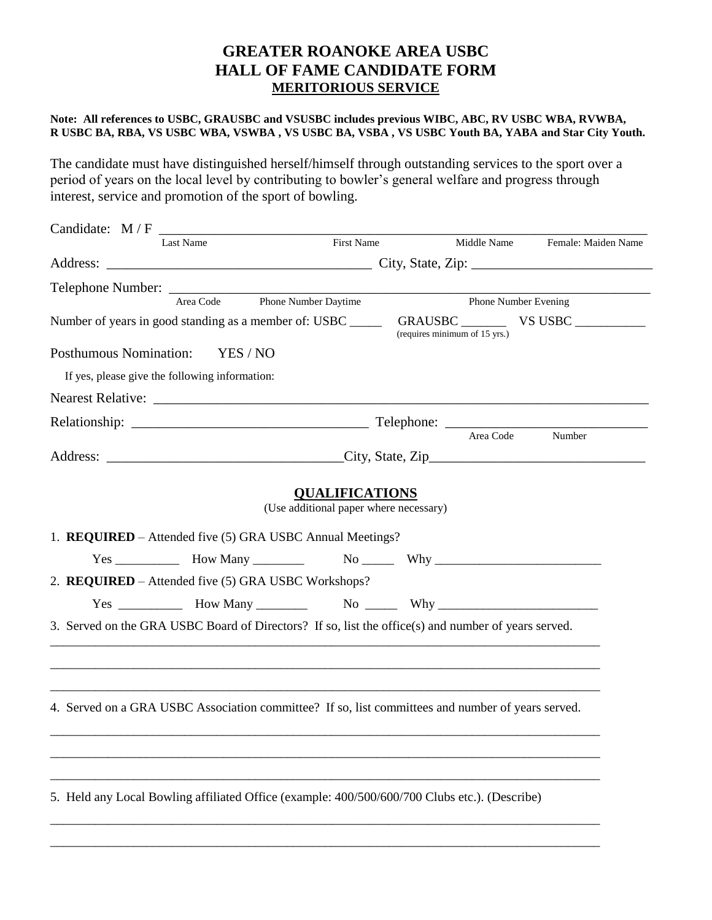## **GREATER ROANOKE AREA USBC HALL OF FAME CANDIDATE FORM MERITORIOUS SERVICE**

## **Note: All references to USBC, GRAUSBC and VSUSBC includes previous WIBC, ABC, RV USBC WBA, RVWBA, R USBC BA, RBA, VS USBC WBA, VSWBA , VS USBC BA, VSBA , VS USBC Youth BA, YABA and Star City Youth.**

The candidate must have distinguished herself/himself through outstanding services to the sport over a period of years on the local level by contributing to bowler's general welfare and progress through interest, service and promotion of the sport of bowling.

| Middle Name Female: Maiden Name<br>Phone Number Evening<br>(requires minimum of 15 yrs.)<br>Area Code<br>Number<br><b>QUALIFICATIONS</b><br>(Use additional paper where necessary) |
|------------------------------------------------------------------------------------------------------------------------------------------------------------------------------------|
|                                                                                                                                                                                    |
|                                                                                                                                                                                    |
|                                                                                                                                                                                    |
|                                                                                                                                                                                    |
|                                                                                                                                                                                    |
|                                                                                                                                                                                    |
|                                                                                                                                                                                    |
|                                                                                                                                                                                    |
|                                                                                                                                                                                    |
|                                                                                                                                                                                    |
|                                                                                                                                                                                    |
| $Yes \_\_\_\_\_\_$ How Many $\_\_\_\_\_$ No $\_\_\_$ Why $\_\_\_\_\_\_\_\_$<br>$Yes \_\_\_\_\_\$ How Many $\_\_\_\_\_\$ No $\_\_\_\_$ Why $\_\_\_\_\_\_\_\_\_\_\_\_\_$             |
| 3. Served on the GRA USBC Board of Directors? If so, list the office(s) and number of years served.                                                                                |
| 4. Served on a GRA USBC Association committee? If so, list committees and number of years served.                                                                                  |
| 5. Held any Local Bowling affiliated Office (example: 400/500/600/700 Clubs etc.). (Describe)                                                                                      |
|                                                                                                                                                                                    |

\_\_\_\_\_\_\_\_\_\_\_\_\_\_\_\_\_\_\_\_\_\_\_\_\_\_\_\_\_\_\_\_\_\_\_\_\_\_\_\_\_\_\_\_\_\_\_\_\_\_\_\_\_\_\_\_\_\_\_\_\_\_\_\_\_\_\_\_\_\_\_\_\_\_\_\_\_\_\_\_\_\_\_\_\_\_